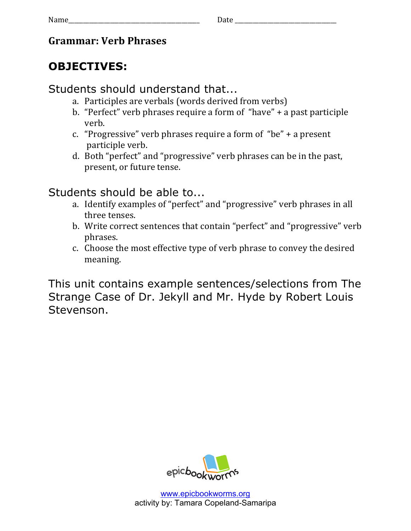#### **Grammar: Verb Phrases**

# **OBJECTIVES:**

### Students should understand that...

- a. Participles are verbals (words derived from verbs)
- b. "Perfect" verb phrases require a form of "have" + a past participle verb.
- c. "Progressive" verb phrases require a form of "be" + a present participle verb.
- d. Both "perfect" and "progressive" verb phrases can be in the past, present, or future tense.

# Students should be able to...

- a. Identify examples of "perfect" and "progressive" verb phrases in all three tenses.
- b. Write correct sentences that contain "perfect" and "progressive" verb phrases.
- c. Choose the most effective type of verb phrase to convey the desired meaning.

This unit contains example sentences/selections from The Strange Case of Dr. Jekyll and Mr. Hyde by Robert Louis Stevenson.

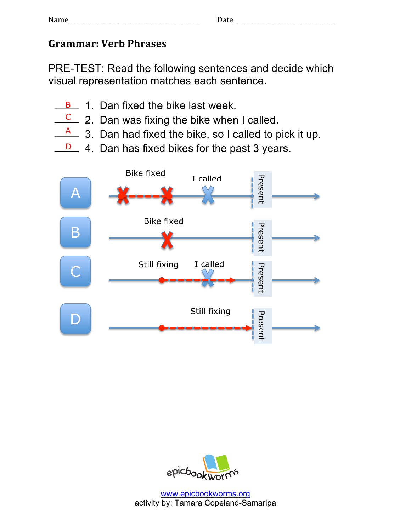### **Grammar: Verb Phrases**

PRE-TEST: Read the following sentences and decide which visual representation matches each sentence.

- B 1. Dan fixed the bike last week.
- $\frac{C}{C}$  2. Dan was fixing the bike when I called.
- 3. Dan had fixed the bike, so I called to pick it up. A
- **D** 4. Dan has fixed bikes for the past 3 years.



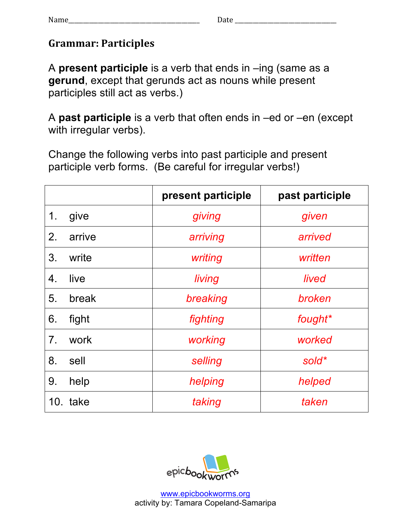## **Grammar: Participles**

A **present participle** is a verb that ends in –ing (same as a **gerund**, except that gerunds act as nouns while present participles still act as verbs.)

A **past participle** is a verb that often ends in –ed or –en (except with irregular verbs).

Change the following verbs into past participle and present participle verb forms. (Be careful for irregular verbs!)

|                |          | present participle | past participle |
|----------------|----------|--------------------|-----------------|
| 1.             | give     | giving             | given           |
| 2.             | arrive   | arriving           | arrived         |
| 3.             | write    | writing            | written         |
| 4.             | live     | living             | lived           |
| 5.             | break    | breaking           | broken          |
| 6.             | fight    | fighting           | fought*         |
| 7 <sub>1</sub> | work     | working            | worked          |
| 8.             | sell     | selling            | sold*           |
| 9.             | help     | helping            | helped          |
|                | 10. take | taking             | taken           |

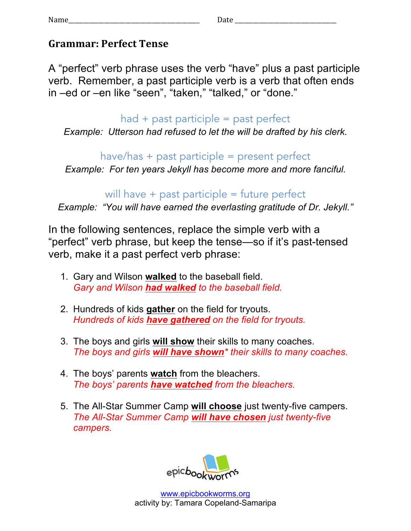#### **Grammar: Perfect Tense**

A "perfect" verb phrase uses the verb "have" plus a past participle verb. Remember, a past participle verb is a verb that often ends in –ed or –en like "seen", "taken," "talked," or "done."

#### $had + past$  participle = past perfect

*Example: Utterson had refused to let the will be drafted by his clerk.*

have/has + past participle = present perfect

*Example: For ten years Jekyll has become more and more fanciful.*

## will have  $+$  past participle  $=$  future perfect

*Example: "You will have earned the everlasting gratitude of Dr. Jekyll."*

In the following sentences, replace the simple verb with a "perfect" verb phrase, but keep the tense—so if it's past-tensed verb, make it a past perfect verb phrase:

- 1. Gary and Wilson **walked** to the baseball field. *Gary and Wilson had walked to the baseball field.*
- 2. Hundreds of kids **gather** on the field for tryouts. *Hundreds of kids have gathered on the field for tryouts.*
- 3. The boys and girls **will show** their skills to many coaches. *The boys and girls will have shown\* their skills to many coaches.*
- 4. The boys' parents **watch** from the bleachers. *The boys' parents have watched from the bleachers.*
- 5. The All-Star Summer Camp **will choose** just twenty-five campers. *The All-Star Summer Camp will have chosen just twenty-five campers.*

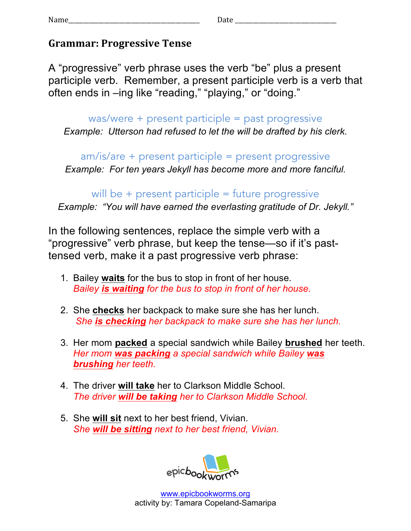#### **Grammar: Progressive Tense**

A "progressive" verb phrase uses the verb "be" plus a present participle verb. Remember, a present participle verb is a verb that often ends in –ing like "reading," "playing," or "doing."

was/were + present participle = past progressive *Example: Utterson had refused to let the will be drafted by his clerk.*

am/is/are + present participle = present progressive *Example: For ten years Jekyll has become more and more fanciful.*

will be  $+$  present participle  $=$  future progressive *Example: "You will have earned the everlasting gratitude of Dr. Jekyll."*

In the following sentences, replace the simple verb with a "progressive" verb phrase, but keep the tense—so if it's pasttensed verb, make it a past progressive verb phrase:

- 1. Bailey **waits** for the bus to stop in front of her house. *Bailey is waiting for the bus to stop in front of her house.*
- 2. She **checks** her backpack to make sure she has her lunch. *She is checking her backpack to make sure she has her lunch.*
- 3. Her mom **packed** a special sandwich while Bailey **brushed** her teeth. *Her mom was packing a special sandwich while Bailey was brushing her teeth.*
- 4. The driver **will take** her to Clarkson Middle School. *The driver will be taking her to Clarkson Middle School.*
- 5. She **will sit** next to her best friend, Vivian. *She will be sitting next to her best friend, Vivian.*

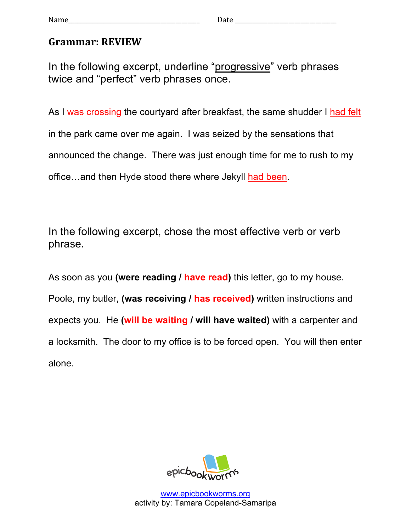#### **Grammar: REVIEW**

In the following excerpt, underline "progressive" verb phrases twice and "perfect" verb phrases once.

As I was crossing the courtyard after breakfast, the same shudder I had felt in the park came over me again. I was seized by the sensations that announced the change. There was just enough time for me to rush to my office…and then Hyde stood there where Jekyll had been.

In the following excerpt, chose the most effective verb or verb phrase.

As soon as you **(were reading / have read)** this letter, go to my house. Poole, my butler, **(was receiving / has received)** written instructions and expects you. He **(will be waiting / will have waited)** with a carpenter and a locksmith. The door to my office is to be forced open. You will then enter alone.



www.epicbookworms.org activity by: Tamara Copeland-Samaripa